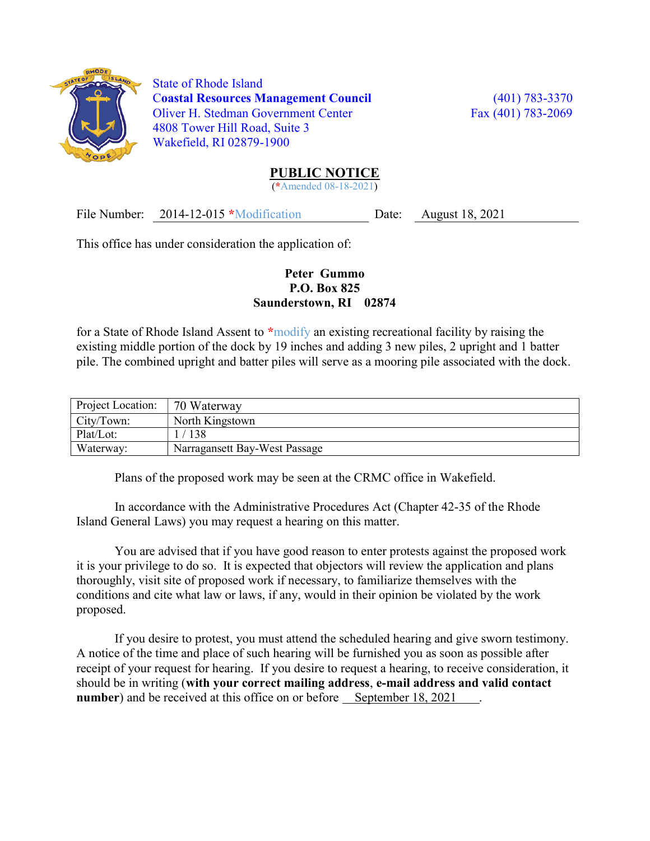

 State of Rhode Island Coastal Resources Management Council (401) 783-3370 Oliver H. Stedman Government Center Fax (401) 783-2069 4808 Tower Hill Road, Suite 3 Wakefield, RI 02879-1900

## PUBLIC NOTICE

(\*Amended 08-18-2021)

File Number: 2014-12-015 \*Modification Date: August 18, 2021

This office has under consideration the application of:

## Peter Gummo P.O. Box 825 Saunderstown, RI 02874

for a State of Rhode Island Assent to \*modify an existing recreational facility by raising the existing middle portion of the dock by 19 inches and adding 3 new piles, 2 upright and 1 batter pile. The combined upright and batter piles will serve as a mooring pile associated with the dock.

| Project Location: | 70 Waterway                   |
|-------------------|-------------------------------|
| City/Town:        | North Kingstown               |
| Plat/Lot:         | 138                           |
| Waterway:         | Narragansett Bay-West Passage |

Plans of the proposed work may be seen at the CRMC office in Wakefield.

In accordance with the Administrative Procedures Act (Chapter 42-35 of the Rhode Island General Laws) you may request a hearing on this matter.

You are advised that if you have good reason to enter protests against the proposed work it is your privilege to do so. It is expected that objectors will review the application and plans thoroughly, visit site of proposed work if necessary, to familiarize themselves with the conditions and cite what law or laws, if any, would in their opinion be violated by the work proposed.

If you desire to protest, you must attend the scheduled hearing and give sworn testimony. A notice of the time and place of such hearing will be furnished you as soon as possible after receipt of your request for hearing. If you desire to request a hearing, to receive consideration, it should be in writing (with your correct mailing address, e-mail address and valid contact number) and be received at this office on or before September 18, 2021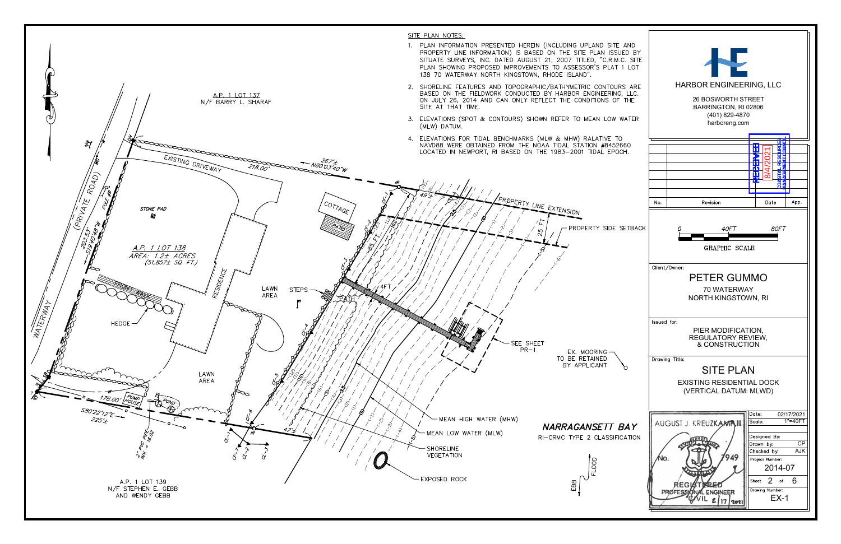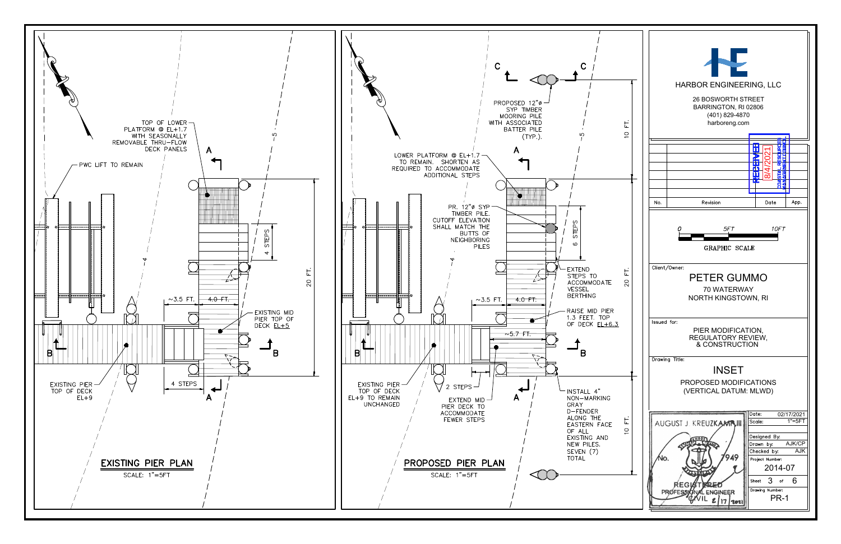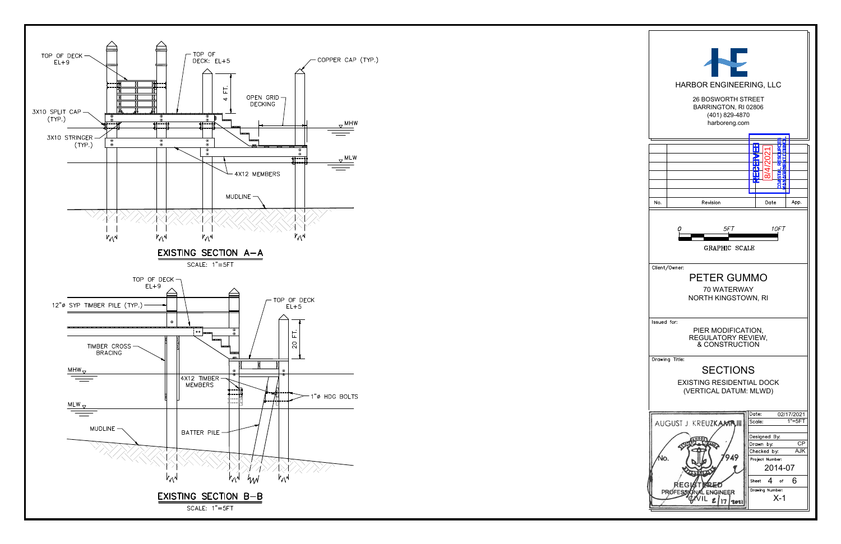